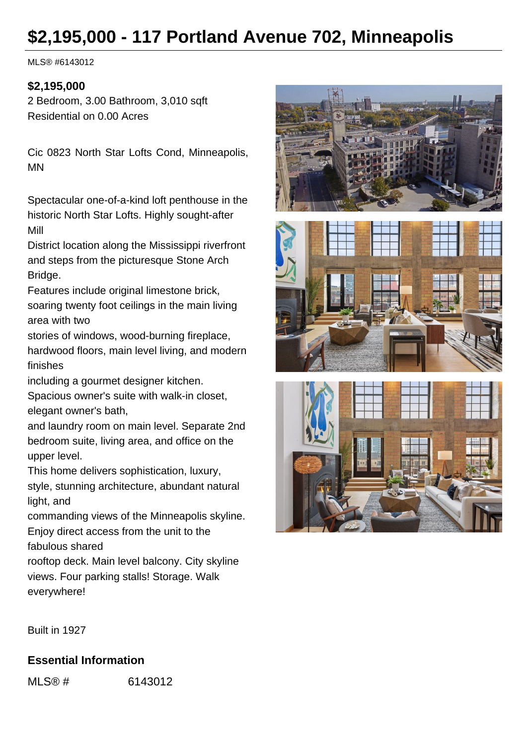# **\$2,195,000 - 117 Portland Avenue 702, Minneapolis**

MLS® #6143012

## **\$2,195,000**

2 Bedroom, 3.00 Bathroom, 3,010 sqft Residential on 0.00 Acres

Cic 0823 North Star Lofts Cond, Minneapolis, MN

Spectacular one-of-a-kind loft penthouse in the historic North Star Lofts. Highly sought-after Mill

District location along the Mississippi riverfront and steps from the picturesque Stone Arch Bridge.

Features include original limestone brick, soaring twenty foot ceilings in the main living area with two

stories of windows, wood-burning fireplace, hardwood floors, main level living, and modern finishes

including a gourmet designer kitchen.

Spacious owner's suite with walk-in closet, elegant owner's bath,

and laundry room on main level. Separate 2nd bedroom suite, living area, and office on the upper level.

This home delivers sophistication, luxury, style, stunning architecture, abundant natural light, and

commanding views of the Minneapolis skyline. Enjoy direct access from the unit to the fabulous shared

rooftop deck. Main level balcony. City skyline views. Four parking stalls! Storage. Walk everywhere!







Built in 1927

## **Essential Information**

MLS® # 6143012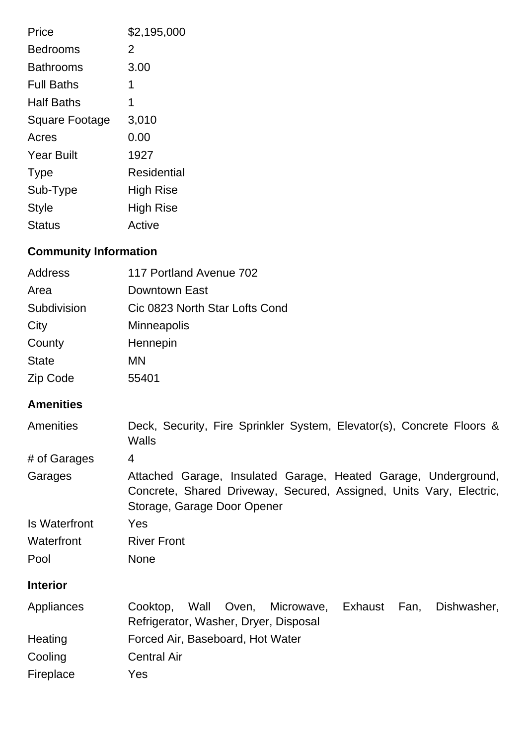| Price                 | \$2,195,000      |
|-----------------------|------------------|
| <b>Bedrooms</b>       | 2                |
| <b>Bathrooms</b>      | 3.00             |
| <b>Full Baths</b>     | 1                |
| <b>Half Baths</b>     | 1                |
| <b>Square Footage</b> | 3,010            |
| Acres                 | 0.00             |
| <b>Year Built</b>     | 1927             |
| <b>Type</b>           | Residential      |
| Sub-Type              | <b>High Rise</b> |
| <b>Style</b>          | <b>High Rise</b> |
| Status                | Active           |

# **Community Information**

| <b>Address</b>       | 117 Portland Avenue 702                                                                                                                                              |  |
|----------------------|----------------------------------------------------------------------------------------------------------------------------------------------------------------------|--|
| Area                 | Downtown East                                                                                                                                                        |  |
| Subdivision          | Cic 0823 North Star Lofts Cond                                                                                                                                       |  |
| City                 | <b>Minneapolis</b>                                                                                                                                                   |  |
| County               | Hennepin                                                                                                                                                             |  |
| <b>State</b>         | <b>MN</b>                                                                                                                                                            |  |
| Zip Code             | 55401                                                                                                                                                                |  |
| <b>Amenities</b>     |                                                                                                                                                                      |  |
| Amenities            | Deck, Security, Fire Sprinkler System, Elevator(s), Concrete Floors &<br><b>Walls</b>                                                                                |  |
| # of Garages         | $\overline{4}$                                                                                                                                                       |  |
| Garages              | Attached Garage, Insulated Garage, Heated Garage, Underground,<br>Concrete, Shared Driveway, Secured, Assigned, Units Vary, Electric,<br>Storage, Garage Door Opener |  |
| <b>Is Waterfront</b> | Yes                                                                                                                                                                  |  |
| Waterfront           | <b>River Front</b>                                                                                                                                                   |  |
| Pool                 | <b>None</b>                                                                                                                                                          |  |
| <b>Interior</b>      |                                                                                                                                                                      |  |
| Appliances           | Wall<br>Oven,<br>Microwave, Exhaust<br>Fan,<br>Dishwasher,<br>Cooktop,<br>Refrigerator, Washer, Dryer, Disposal                                                      |  |
| Heating              | Forced Air, Baseboard, Hot Water                                                                                                                                     |  |
| Cooling              | <b>Central Air</b>                                                                                                                                                   |  |
| Fireplace            | Yes                                                                                                                                                                  |  |